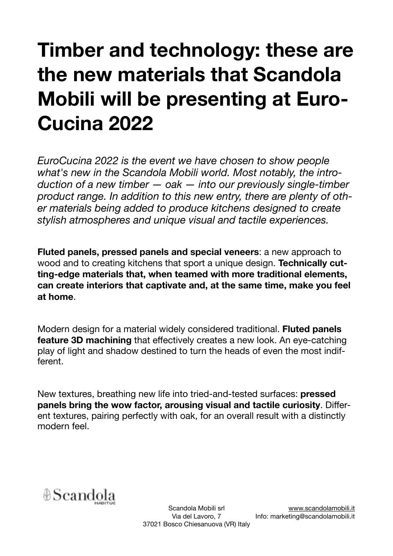## **Timber and technology: these are the new materials that Scandola Mobili will be presenting at Euro-Cucina 2022**

*EuroCucina 2022 is the event we have chosen to show people what's new in the Scandola Mobili world. Most notably, the introduction of a new timber — oak — into our previously single-timber product range. In addition to this new entry, there are plenty of other materials being added to produce kitchens designed to create stylish atmospheres and unique visual and tactile experiences.* 

**Fluted panels, pressed panels and special veneers**: a new approach to wood and to creating kitchens that sport a unique design. **Technically cutting-edge materials that, when teamed with more traditional elements, can create interiors that captivate and, at the same time, make you feel at home**.

Modern design for a material widely considered traditional. **Fluted panels feature 3D machining** that effectively creates a new look. An eye-catching play of light and shadow destined to turn the heads of even the most indifferent.

New textures, breathing new life into tried-and-tested surfaces: **pressed panels bring the wow factor, arousing visual and tactile curiosity**. Different textures, pairing perfectly with oak, for an overall result with a distinctly modern feel.

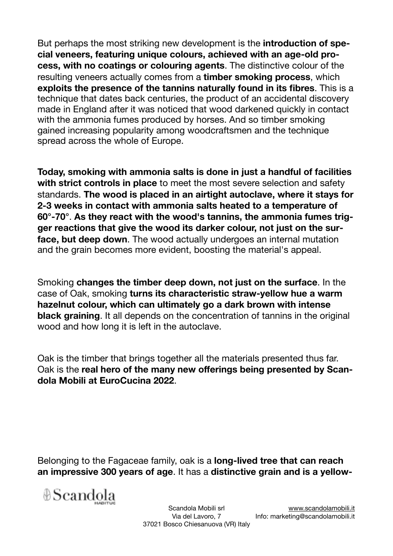But perhaps the most striking new development is the **introduction of special veneers, featuring unique colours, achieved with an age-old process, with no coatings or colouring agents**. The distinctive colour of the resulting veneers actually comes from a **timber smoking process**, which **exploits the presence of the tannins naturally found in its fibres**. This is a technique that dates back centuries, the product of an accidental discovery made in England after it was noticed that wood darkened quickly in contact with the ammonia fumes produced by horses. And so timber smoking gained increasing popularity among woodcraftsmen and the technique spread across the whole of Europe.

**Today, smoking with ammonia salts is done in just a handful of facilities with strict controls in place** to meet the most severe selection and safety standards. **The wood is placed in an airtight autoclave, where it stays for 2-3 weeks in contact with ammonia salts heated to a temperature of 60°-70°**. **As they react with the wood's tannins, the ammonia fumes trigger reactions that give the wood its darker colour, not just on the surface, but deep down**. The wood actually undergoes an internal mutation and the grain becomes more evident, boosting the material's appeal.

Smoking **changes the timber deep down, not just on the surface**. In the case of Oak, smoking **turns its characteristic straw-yellow hue a warm hazelnut colour, which can ultimately go a dark brown with intense black graining**. It all depends on the concentration of tannins in the original wood and how long it is left in the autoclave.

Oak is the timber that brings together all the materials presented thus far. Oak is the **real hero of the many new offerings being presented by Scandola Mobili at EuroCucina 2022**.

Belonging to the Fagaceae family, oak is a **long-lived tree that can reach an impressive 300 years of age**. It has a **distinctive grain and is a yellow-**